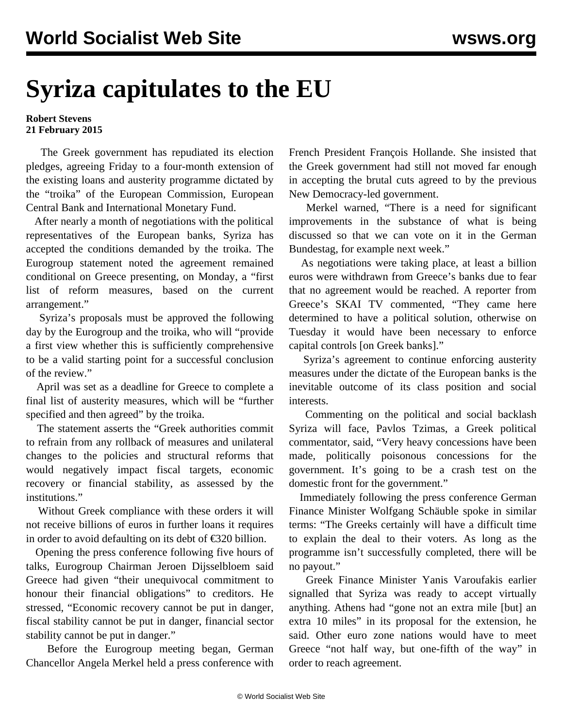## **Syriza capitulates to the EU**

## **Robert Stevens 21 February 2015**

 The Greek government has repudiated its election pledges, agreeing Friday to a four-month extension of the existing loans and austerity programme dictated by the "troika" of the European Commission, European Central Bank and International Monetary Fund.

 After nearly a month of negotiations with the political representatives of the European banks, Syriza has accepted the conditions demanded by the troika. The Eurogroup [statement](http://www.consilium.europa.eu/en/press/press-releases/2015/02/150220-eurogroup-statement-greece/) noted the agreement remained conditional on Greece presenting, on Monday, a "first list of reform measures, based on the current arrangement."

 Syriza's proposals must be approved the following day by the Eurogroup and the troika, who will "provide a first view whether this is sufficiently comprehensive to be a valid starting point for a successful conclusion of the review."

 April was set as a deadline for Greece to complete a final list of austerity measures, which will be "further specified and then agreed" by the troika.

 The statement asserts the "Greek authorities commit to refrain from any rollback of measures and unilateral changes to the policies and structural reforms that would negatively impact fiscal targets, economic recovery or financial stability, as assessed by the institutions."

 Without Greek compliance with these orders it will not receive billions of euros in further loans it requires in order to avoid defaulting on its debt of €320 billion.

 Opening the press conference following five hours of talks, Eurogroup Chairman Jeroen Dijsselbloem said Greece had given "their unequivocal commitment to honour their financial obligations" to creditors. He stressed, "Economic recovery cannot be put in danger, fiscal stability cannot be put in danger, financial sector stability cannot be put in danger."

 Before the Eurogroup meeting began, German Chancellor Angela Merkel held a press conference with French President François Hollande. She insisted that the Greek government had still not moved far enough in accepting the brutal cuts agreed to by the previous New Democracy-led government.

 Merkel warned, "There is a need for significant improvements in the substance of what is being discussed so that we can vote on it in the German Bundestag, for example next week."

 As negotiations were taking place, at least a billion euros were withdrawn from Greece's banks due to fear that no agreement would be reached. A reporter from Greece's SKAI TV commented, "They came here determined to have a political solution, otherwise on Tuesday it would have been necessary to enforce capital controls [on Greek banks]."

 Syriza's agreement to continue enforcing austerity measures under the dictate of the European banks is the inevitable outcome of its class position and social interests.

 Commenting on the political and social backlash Syriza will face, Pavlos Tzimas, a Greek political commentator, said, "Very heavy concessions have been made, politically poisonous concessions for the government. It's going to be a crash test on the domestic front for the government."

 Immediately following the press conference German Finance Minister Wolfgang Schäuble spoke in similar terms: "The Greeks certainly will have a difficult time to explain the deal to their voters. As long as the programme isn't successfully completed, there will be no payout."

 Greek Finance Minister Yanis Varoufakis earlier signalled that Syriza was ready to accept virtually anything. Athens had "gone not an extra mile [but] an extra 10 miles" in its proposal for the extension, he said. Other euro zone nations would have to meet Greece "not half way, but one-fifth of the way" in order to reach agreement.